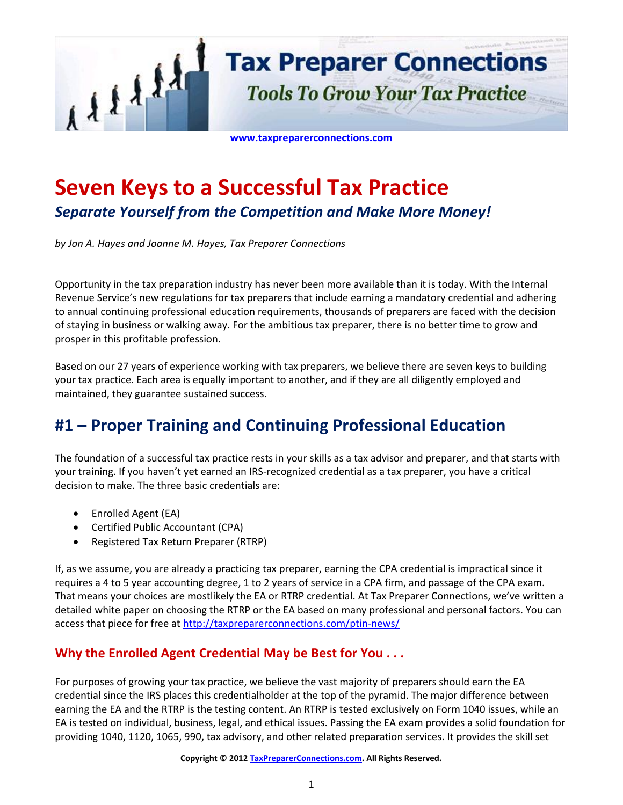

**[www.taxpreparerconnections.com](http://www.taxpreparerconnections.com/)**

# **Seven Keys to a Successful Tax Practice** *Separate Yourself from the Competition and Make More Money!*

*by Jon A. Hayes and Joanne M. Hayes, Tax Preparer Connections*

Opportunity in the tax preparation industry has never been more available than it is today. With the Internal Revenue Service's new regulations for tax preparers that include earning a mandatory credential and adhering to annual continuing professional education requirements, thousands of preparers are faced with the decision of staying in business or walking away. For the ambitious tax preparer, there is no better time to grow and prosper in this profitable profession.

Based on our 27 years of experience working with tax preparers, we believe there are seven keys to building your tax practice. Each area is equally important to another, and if they are all diligently employed and maintained, they guarantee sustained success.

## **#1 – Proper Training and Continuing Professional Education**

The foundation of a successful tax practice rests in your skills as a tax advisor and preparer, and that starts with your training. If you haven't yet earned an IRS-recognized credential as a tax preparer, you have a critical decision to make. The three basic credentials are:

- Enrolled Agent (EA)
- Certified Public Accountant (CPA)
- Registered Tax Return Preparer (RTRP)

If, as we assume, you are already a practicing tax preparer, earning the CPA credential is impractical since it requires a 4 to 5 year accounting degree, 1 to 2 years of service in a CPA firm, and passage of the CPA exam. That means your choices are mostlikely the EA or RTRP credential. At Tax Preparer Connections, we've written a detailed white paper on choosing the RTRP or the EA based on many professional and personal factors. You can access that piece for free at <http://taxpreparerconnections.com/ptin-news/>

### **Why the Enrolled Agent Credential May be Best for You . . .**

For purposes of growing your tax practice, we believe the vast majority of preparers should earn the EA credential since the IRS places this credentialholder at the top of the pyramid. The major difference between earning the EA and the RTRP is the testing content. An RTRP is tested exclusively on Form 1040 issues, while an EA is tested on individual, business, legal, and ethical issues. Passing the EA exam provides a solid foundation for providing 1040, 1120, 1065, 990, tax advisory, and other related preparation services. It provides the skill set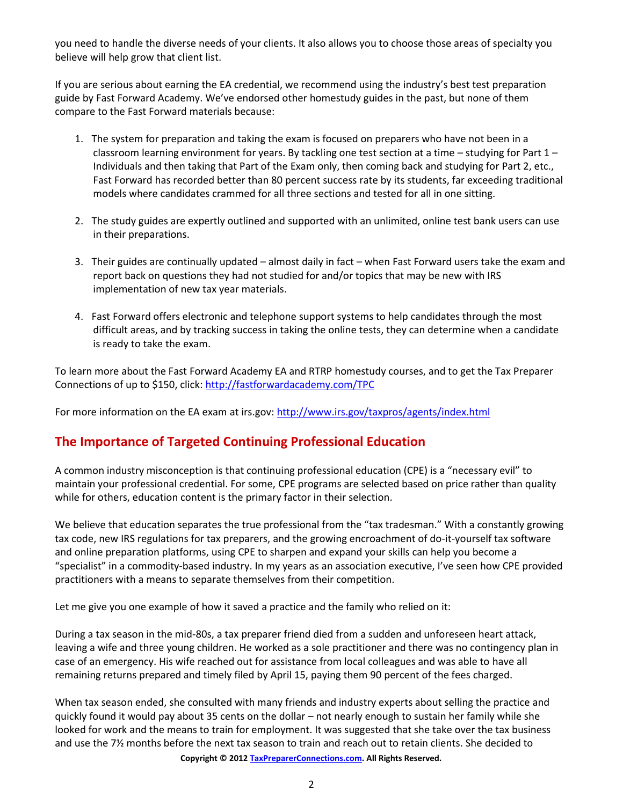you need to handle the diverse needs of your clients. It also allows you to choose those areas of specialty you believe will help grow that client list.

If you are serious about earning the EA credential, we recommend using the industry's best test preparation guide by Fast Forward Academy. We've endorsed other homestudy guides in the past, but none of them compare to the Fast Forward materials because:

- 1. The system for preparation and taking the exam is focused on preparers who have not been in a classroom learning environment for years. By tackling one test section at a time – studying for Part  $1$  – Individuals and then taking that Part of the Exam only, then coming back and studying for Part 2, etc., Fast Forward has recorded better than 80 percent success rate by its students, far exceeding traditional models where candidates crammed for all three sections and tested for all in one sitting.
- 2. The study guides are expertly outlined and supported with an unlimited, online test bank users can use in their preparations.
- 3. Their guides are continually updated almost daily in fact when Fast Forward users take the exam and report back on questions they had not studied for and/or topics that may be new with IRS implementation of new tax year materials.
- 4. Fast Forward offers electronic and telephone support systems to help candidates through the most difficult areas, and by tracking success in taking the online tests, they can determine when a candidate is ready to take the exam.

To learn more about the Fast Forward Academy EA and RTRP homestudy courses, and to get the Tax Preparer Connections of up to \$150, click:<http://fastforwardacademy.com/TPC>

For more information on the EA exam at irs.gov: <http://www.irs.gov/taxpros/agents/index.html>

### **The Importance of Targeted Continuing Professional Education**

A common industry misconception is that continuing professional education (CPE) is a "necessary evil" to maintain your professional credential. For some, CPE programs are selected based on price rather than quality while for others, education content is the primary factor in their selection.

We believe that education separates the true professional from the "tax tradesman." With a constantly growing tax code, new IRS regulations for tax preparers, and the growing encroachment of do-it-yourself tax software and online preparation platforms, using CPE to sharpen and expand your skills can help you become a "specialist" in a commodity-based industry. In my years as an association executive, I've seen how CPE provided practitioners with a means to separate themselves from their competition.

Let me give you one example of how it saved a practice and the family who relied on it:

During a tax season in the mid-80s, a tax preparer friend died from a sudden and unforeseen heart attack, leaving a wife and three young children. He worked as a sole practitioner and there was no contingency plan in case of an emergency. His wife reached out for assistance from local colleagues and was able to have all remaining returns prepared and timely filed by April 15, paying them 90 percent of the fees charged.

**Copyright © 2012 TaxPreparerConnections.com. All Rights Reserved.** When tax season ended, she consulted with many friends and industry experts about selling the practice and quickly found it would pay about 35 cents on the dollar – not nearly enough to sustain her family while she looked for work and the means to train for employment. It was suggested that she take over the tax business and use the 7½ months before the next tax season to train and reach out to retain clients. She decided to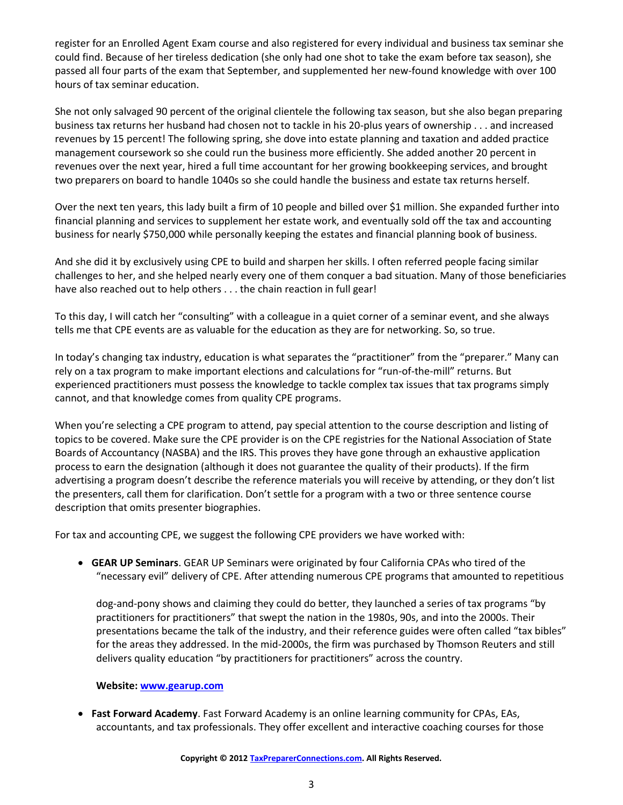register for an Enrolled Agent Exam course and also registered for every individual and business tax seminar she could find. Because of her tireless dedication (she only had one shot to take the exam before tax season), she passed all four parts of the exam that September, and supplemented her new-found knowledge with over 100 hours of tax seminar education.

She not only salvaged 90 percent of the original clientele the following tax season, but she also began preparing business tax returns her husband had chosen not to tackle in his 20-plus years of ownership . . . and increased revenues by 15 percent! The following spring, she dove into estate planning and taxation and added practice management coursework so she could run the business more efficiently. She added another 20 percent in revenues over the next year, hired a full time accountant for her growing bookkeeping services, and brought two preparers on board to handle 1040s so she could handle the business and estate tax returns herself.

Over the next ten years, this lady built a firm of 10 people and billed over \$1 million. She expanded further into financial planning and services to supplement her estate work, and eventually sold off the tax and accounting business for nearly \$750,000 while personally keeping the estates and financial planning book of business.

And she did it by exclusively using CPE to build and sharpen her skills. I often referred people facing similar challenges to her, and she helped nearly every one of them conquer a bad situation. Many of those beneficiaries have also reached out to help others . . . the chain reaction in full gear!

To this day, I will catch her "consulting" with a colleague in a quiet corner of a seminar event, and she always tells me that CPE events are as valuable for the education as they are for networking. So, so true.

In today's changing tax industry, education is what separates the "practitioner" from the "preparer." Many can rely on a tax program to make important elections and calculations for "run-of-the-mill" returns. But experienced practitioners must possess the knowledge to tackle complex tax issues that tax programs simply cannot, and that knowledge comes from quality CPE programs.

When you're selecting a CPE program to attend, pay special attention to the course description and listing of topics to be covered. Make sure the CPE provider is on the CPE registries for the National Association of State Boards of Accountancy (NASBA) and the IRS. This proves they have gone through an exhaustive application process to earn the designation (although it does not guarantee the quality of their products). If the firm advertising a program doesn't describe the reference materials you will receive by attending, or they don't list the presenters, call them for clarification. Don't settle for a program with a two or three sentence course description that omits presenter biographies.

For tax and accounting CPE, we suggest the following CPE providers we have worked with:

 **GEAR UP Seminars**. GEAR UP Seminars were originated by four California CPAs who tired of the "necessary evil" delivery of CPE. After attending numerous CPE programs that amounted to repetitious

dog-and-pony shows and claiming they could do better, they launched a series of tax programs "by practitioners for practitioners" that swept the nation in the 1980s, 90s, and into the 2000s. Their presentations became the talk of the industry, and their reference guides were often called "tax bibles" for the areas they addressed. In the mid-2000s, the firm was purchased by Thomson Reuters and still delivers quality education "by practitioners for practitioners" across the country.

#### **Website: [www.gearup.com](http://www.gearup.com/)**

 **Fast Forward Academy**. Fast Forward Academy is an online learning community for CPAs, EAs, accountants, and tax professionals. They offer excellent and interactive coaching courses for those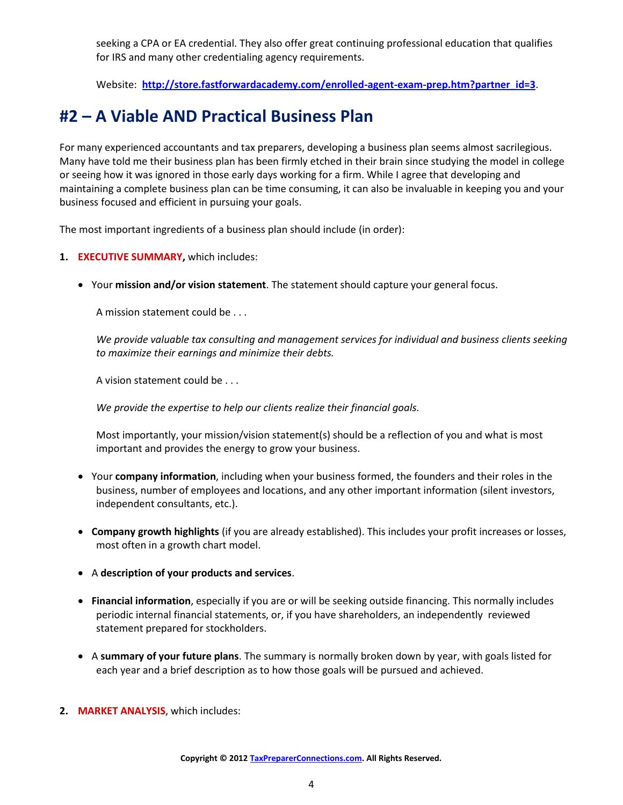seeking a CPA or EA credential. They also offer great continuing professional education that qualifies for IRS and many other credentialing agency requirements.

Website: **[http://store.fastforwardacademy.com/enrolled-agent-exam-prep.htm?partner\\_id=3](http://www.fastforwardacademy.com/)**.

## **#2 – A Viable AND Practical Business Plan**

For many experienced accountants and tax preparers, developing a business plan seems almost sacrilegious. Many have told me their business plan has been firmly etched in their brain since studying the model in college or seeing how it was ignored in those early days working for a firm. While I agree that developing and maintaining a complete business plan can be time consuming, it can also be invaluable in keeping you and your business focused and efficient in pursuing your goals.

The most important ingredients of a business plan should include (in order):

- **1. EXECUTIVE SUMMARY,** which includes:
	- Your **mission and/or vision statement**. The statement should capture your general focus.

A mission statement could be . . .

*We provide valuable tax consulting and management services for individual and business clients seeking to maximize their earnings and minimize their debts.*

A vision statement could be . . .

*We provide the expertise to help our clients realize their financial goals.* 

Most importantly, your mission/vision statement(s) should be a reflection of you and what is most important and provides the energy to grow your business.

- Your **company information**, including when your business formed, the founders and their roles in the business, number of employees and locations, and any other important information (silent investors, independent consultants, etc.).
- **Company growth highlights** (if you are already established). This includes your profit increases or losses, most often in a growth chart model.
- A **description of your products and services**.
- **Financial information**, especially if you are or will be seeking outside financing. This normally includes periodic internal financial statements, or, if you have shareholders, an independently reviewed statement prepared for stockholders.
- A **summary of your future plans**. The summary is normally broken down by year, with goals listed for each year and a brief description as to how those goals will be pursued and achieved.
- **2. MARKET ANALYSIS**, which includes: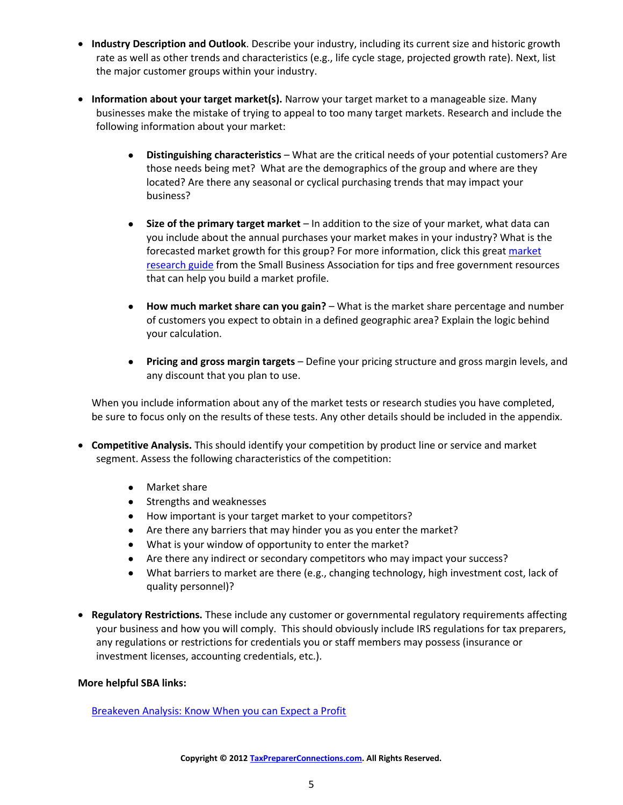- **Industry Description and Outlook**. Describe your industry, including its current size and historic growth rate as well as other trends and characteristics (e.g., life cycle stage, projected growth rate). Next, list the major customer groups within your industry.
- **Information about your target market(s).** Narrow your target market to a manageable size. Many businesses make the mistake of trying to appeal to too many target markets. Research and include the following information about your market:
	- **Distinguishing characteristics** What are the critical needs of your potential customers? Are those needs being met? What are the demographics of the group and where are they located? Are there any seasonal or cyclical purchasing trends that may impact your business?
	- **Size of the primary target market**  In addition to the size of your market, what data can you include about the annual purchases your market makes in your industry? What is the forecasted market growth for this group? For more information, click this great [market](http://www.sba.gov/content/conducting-market-research)  [research guide](http://www.sba.gov/content/conducting-market-research) from the Small Business Association for tips and free government resources that can help you build a market profile.
	- **How much market share can you gain?** What is the market share percentage and number of customers you expect to obtain in a defined geographic area? Explain the logic behind your calculation.
	- **Pricing and gross margin targets**  Define your pricing structure and gross margin levels, and any discount that you plan to use.

When you include information about any of the market tests or research studies you have completed, be sure to focus only on the results of these tests. Any other details should be included in the appendix.

- **Competitive Analysis.** This should identify your competition by product line or service and market segment. Assess the following characteristics of the competition:
	- Market share
	- Strengths and weaknesses
	- How important is your target market to your competitors?
	- Are there any barriers that may hinder you as you enter the market?
	- What is your window of opportunity to enter the market?
	- Are there any indirect or secondary competitors who may impact your success?
	- What barriers to market are there (e.g., changing technology, high investment cost, lack of quality personnel)?
- **Regulatory Restrictions.** These include any customer or governmental regulatory requirements affecting your business and how you will comply. This should obviously include IRS regulations for tax preparers, any regulations or restrictions for credentials you or staff members may possess (insurance or investment licenses, accounting credentials, etc.).

#### **More helpful SBA links:**

[Breakeven Analysis: Know When you can Expect a Profit](http://www.sba.gov/content/breakeven-analysis-know-when-you-can-expect-profit)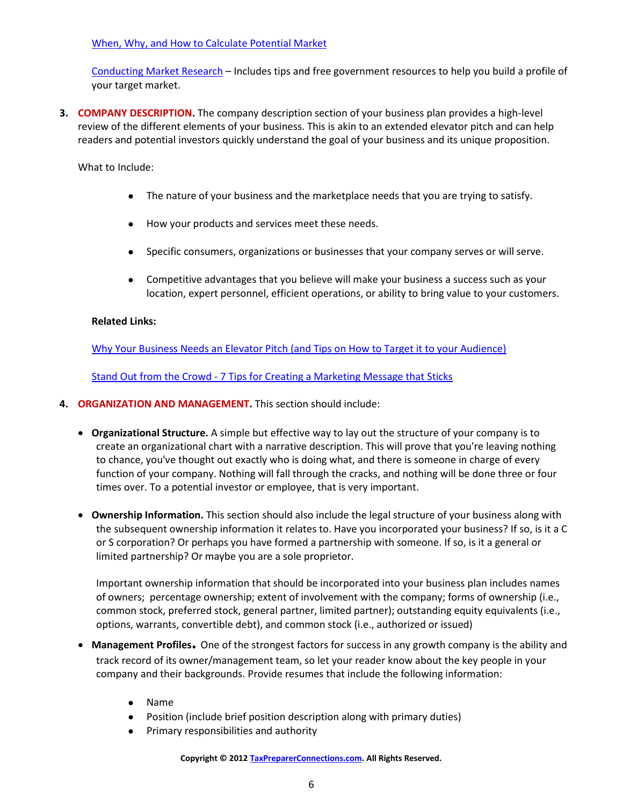#### [When, Why, and How to Calculate Potential Market](http://www.sba.gov/content/%E2%80%A2%09http:/community.sba.gov/community/blogs/guest-blogs/industry-word/when-why-and-how-calculate-potential-market)

[Conducting Market Research](http://www.sba.gov/content/conducting-market-research) – Includes tips and free government resources to help you build a profile of your target market.

**3. COMPANY DESCRIPTION.** The company description section of your business plan provides a high-level review of the different elements of your business. This is akin to an extended elevator pitch and can help readers and potential investors quickly understand the goal of your business and its unique proposition.

What to Include:

- The nature of your business and the marketplace needs that you are trying to satisfy.
- How your products and services meet these needs.
- Specific consumers, organizations or businesses that your company serves or will serve.
- Competitive advantages that you believe will make your business a success such as your location, expert personnel, efficient operations, or ability to bring value to your customers.

#### **Related Links:**

Why [Your Business Needs an Elevator Pitch \(and Tips on How to Target it to your Audience\)](http://www.sba.gov/community/blogs/community-blogs/small-business-matters/why-your-business-needs-elevator-pitch-and--0)

Stand Out from the Crowd - 7 Tips [for Creating a Marketing Message that Sticks](http://www.sba.gov/community/blogs/community-blogs/small-business-matters/stand-out-crowd-7-tips-creating-marketing-m-0)

- **4. ORGANIZATION AND MANAGEMENT.** This section should include:
	- **Organizational Structure.** A simple but effective way to lay out the structure of your company is to create an organizational chart with a narrative description. This will prove that you're leaving nothing to chance, you've thought out exactly who is doing what, and there is someone in charge of every function of your company. Nothing will fall through the cracks, and nothing will be done three or four times over. To a potential investor or employee, that is very important.
	- **Ownership Information.** This section should also include the legal structure of your business along with the subsequent ownership information it relates to. Have you incorporated your business? If so, is it a C or S corporation? Or perhaps you have formed a partnership with someone. If so, is it a general or limited partnership? Or maybe you are a sole proprietor.

Important ownership information that should be incorporated into your business plan includes names of owners; percentage ownership; extent of involvement with the company; forms of ownership (i.e., common stock, preferred stock, general partner, limited partner); outstanding equity equivalents (i.e., options, warrants, convertible debt), and common stock (i.e., authorized or issued)

- **Management Profiles.** One of the strongest factors for success in any growth company is the ability and track record of its owner/management team, so let your reader know about the key people in your company and their backgrounds. Provide resumes that include the following information:
	- Name
	- Position (include brief position description along with primary duties)
	- Primary responsibilities and authority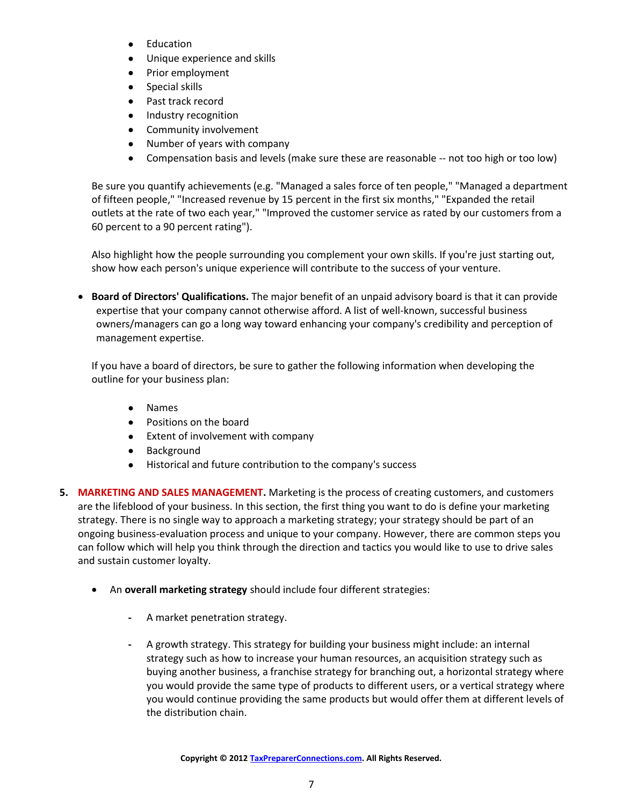- Education
- Unique experience and skills
- Prior employment
- Special skills
- Past track record
- Industry recognition
- Community involvement
- Number of years with company
- Compensation basis and levels (make sure these are reasonable -- not too high or too low)

Be sure you quantify achievements (e.g. "Managed a sales force of ten people," "Managed a department of fifteen people," "Increased revenue by 15 percent in the first six months," "Expanded the retail outlets at the rate of two each year," "Improved the customer service as rated by our customers from a 60 percent to a 90 percent rating").

Also highlight how the people surrounding you complement your own skills. If you're just starting out, show how each person's unique experience will contribute to the success of your venture.

 **Board of Directors' Qualifications.** The major benefit of an unpaid advisory board is that it can provide expertise that your company cannot otherwise afford. A list of well-known, successful business owners/managers can go a long way toward enhancing your company's credibility and perception of management expertise.

If you have a board of directors, be sure to gather the following information when developing the outline for your business plan:

- Names
- Positions on the board
- Extent of involvement with company
- Background
- Historical and future contribution to the company's success
- **5. MARKETING AND SALES MANAGEMENT.** Marketing is the process of creating customers, and customers are the lifeblood of your business. In this section, the first thing you want to do is define your marketing strategy. There is no single way to approach a marketing strategy; your strategy should be part of an ongoing business-evaluation process and unique to your company. However, there are common steps you can follow which will help you think through the direction and tactics you would like to use to drive sales and sustain customer loyalty.
	- An **overall marketing strategy** should include four different strategies:
		- **-** A market penetration strategy.
		- **-** A growth strategy. This strategy for building your business might include: an internal strategy such as how to increase your human resources, an acquisition strategy such as buying another business, a franchise strategy for branching out, a horizontal strategy where you would provide the same type of products to different users, or a vertical strategy where you would continue providing the same products but would offer them at different levels of the distribution chain.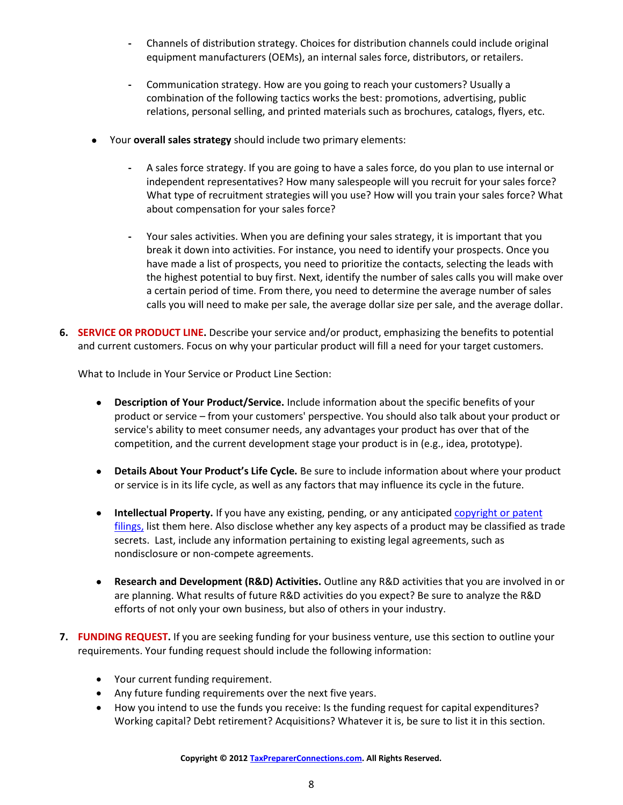- **-** Channels of distribution strategy. Choices for distribution channels could include original equipment manufacturers (OEMs), an internal sales force, distributors, or retailers.
- **-** Communication strategy. How are you going to reach your customers? Usually a combination of the following tactics works the best: promotions, advertising, public relations, personal selling, and printed materials such as brochures, catalogs, flyers, etc.
- Your **overall sales strategy** should include two primary elements:
	- **-** A sales force strategy. If you are going to have a sales force, do you plan to use internal or independent representatives? How many salespeople will you recruit for your sales force? What type of recruitment strategies will you use? How will you train your sales force? What about compensation for your sales force?
	- **-** Your sales activities. When you are defining your sales strategy, it is important that you break it down into activities. For instance, you need to identify your prospects. Once you have made a list of prospects, you need to prioritize the contacts, selecting the leads with the highest potential to buy first. Next, identify the number of sales calls you will make over a certain period of time. From there, you need to determine the average number of sales calls you will need to make per sale, the average dollar size per sale, and the average dollar.
- **6. SERVICE OR PRODUCT LINE.** Describe your service and/or product, emphasizing the benefits to potential and current customers. Focus on why your particular product will fill a need for your target customers.

What to Include in Your Service or Product Line Section:

- **Description of Your Product/Service.** Include information about the specific benefits of your product or service – from your customers' perspective. You should also talk about your product or service's ability to meet consumer needs, any advantages your product has over that of the competition, and the current development stage your product is in (e.g., idea, prototype).
- **Details About Your Product's Life Cycle.** Be sure to include information about where your product or service is in its life cycle, as well as any factors that may influence its cycle in the future.
- **Intellectual Property.** If you have any existing, pending, or any anticipated copyright or patent [filings,](http://www.sba.gov/content/patents-trademarks-copyright) list them here. Also disclose whether any key aspects of a product may be classified as trade secrets. Last, include any information pertaining to existing legal agreements, such as nondisclosure or non-compete agreements.
- **Research and Development (R&D) Activities.** Outline any R&D activities that you are involved in or are planning. What results of future R&D activities do you expect? Be sure to analyze the R&D efforts of not only your own business, but also of others in your industry.
- **7. FUNDING REQUEST.** If you are seeking funding for your business venture, use this section to outline your requirements. Your funding request should include the following information:
	- Your current funding requirement.
	- Any future funding requirements over the next five years.
	- How you intend to use the funds you receive: Is the funding request for capital expenditures? Working capital? Debt retirement? Acquisitions? Whatever it is, be sure to list it in this section.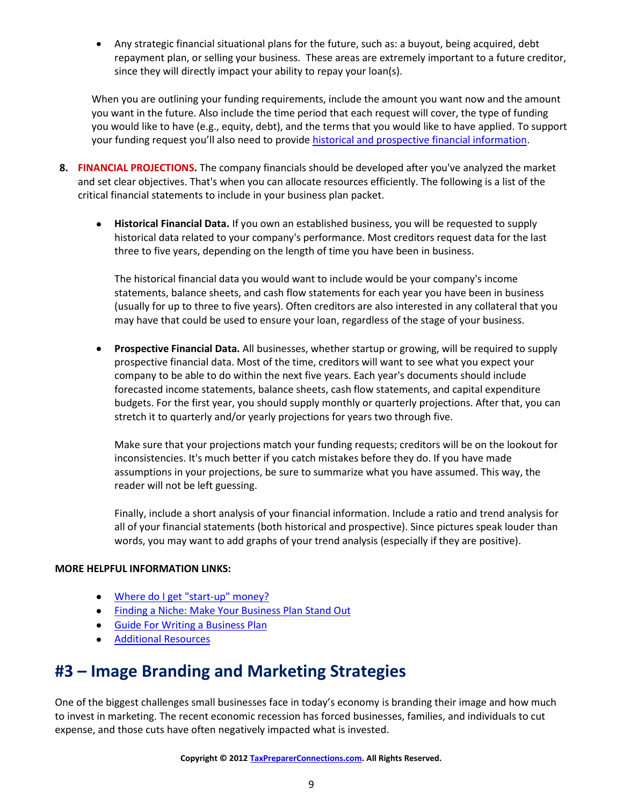Any strategic financial situational plans for the future, such as: a buyout, being acquired, debt repayment plan, or selling your business. These areas are extremely important to a future creditor, since they will directly impact your ability to repay your loan(s).

When you are outlining your funding requirements, include the amount you want now and the amount you want in the future. Also include the time period that each request will cover, the type of funding you would like to have (e.g., equity, debt), and the terms that you would like to have applied. To support your funding request you'll also need to provide [historical and prospective financial information.](http://www.sba.gov/content/financials)

- **8. FINANCIAL PROJECTIONS.** The company financials should be developed after you've analyzed the market and set clear objectives. That's when you can allocate resources efficiently. The following is a list of the critical financial statements to include in your business plan packet.
	- **Historical Financial Data.** If you own an established business, you will be requested to supply historical data related to your company's performance. Most creditors request data for the last three to five years, depending on the length of time you have been in business.

The historical financial data you would want to include would be your company's income statements, balance sheets, and cash flow statements for each year you have been in business (usually for up to three to five years). Often creditors are also interested in any collateral that you may have that could be used to ensure your loan, regardless of the stage of your business.

 **Prospective Financial Data.** All businesses, whether startup or growing, will be required to supply prospective financial data. Most of the time, creditors will want to see what you expect your company to be able to do within the next five years. Each year's documents should include forecasted income statements, balance sheets, cash flow statements, and capital expenditure budgets. For the first year, you should supply monthly or quarterly projections. After that, you can stretch it to quarterly and/or yearly projections for years two through five.

Make sure that your projections match your funding requests; creditors will be on the lookout for inconsistencies. It's much better if you catch mistakes before they do. If you have made assumptions in your projections, be sure to summarize what you have assumed. This way, the reader will not be left guessing.

Finally, include a short analysis of your financial information. Include a ratio and trend analysis for all of your financial statements (both historical and prospective). Since pictures speak louder than words, you may want to add graphs of your trend analysis (especially if they are positive).

#### **MORE HELPFUL INFORMATION LINKS:**

- [Where do I get "start-up" money?](http://www.sba.gov/content/where-do-i-get-start-money)
- [Finding a Niche: Make Your Business Plan Stand Out](http://www.sba.gov/content/finding-niche-make-your-business-plan-stand-out)
- **[Guide For Writing a Business Plan](http://www.sba.gov/content/templates-writing-business-plan)**
- [Additional Resources](http://www.sba.gov/content/why-do-you-need-one)

## **#3 – Image Branding and Marketing Strategies**

One of the biggest challenges small businesses face in today's economy is branding their image and how much to invest in marketing. The recent economic recession has forced businesses, families, and individuals to cut expense, and those cuts have often negatively impacted what is invested.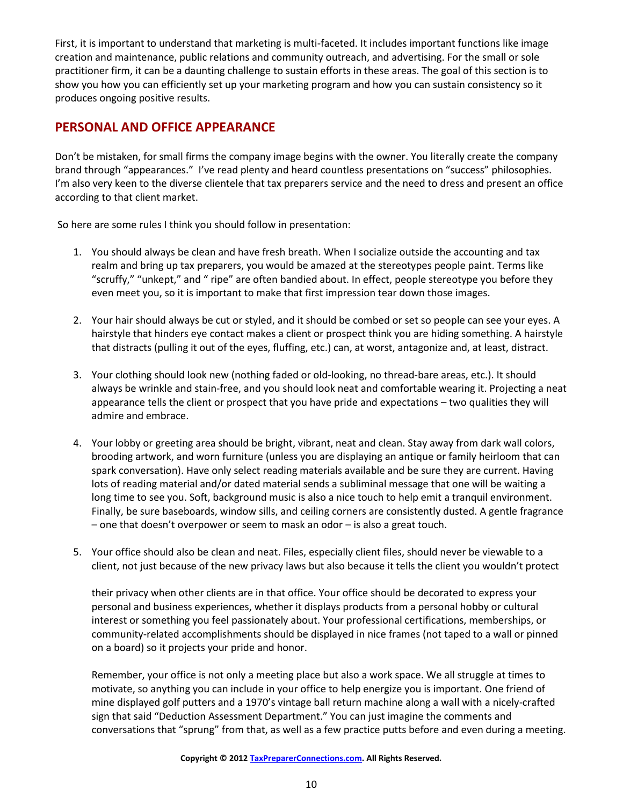First, it is important to understand that marketing is multi-faceted. It includes important functions like image creation and maintenance, public relations and community outreach, and advertising. For the small or sole practitioner firm, it can be a daunting challenge to sustain efforts in these areas. The goal of this section is to show you how you can efficiently set up your marketing program and how you can sustain consistency so it produces ongoing positive results.

### **PERSONAL AND OFFICE APPEARANCE**

Don't be mistaken, for small firms the company image begins with the owner. You literally create the company brand through "appearances." I've read plenty and heard countless presentations on "success" philosophies. I'm also very keen to the diverse clientele that tax preparers service and the need to dress and present an office according to that client market.

So here are some rules I think you should follow in presentation:

- 1. You should always be clean and have fresh breath. When I socialize outside the accounting and tax realm and bring up tax preparers, you would be amazed at the stereotypes people paint. Terms like "scruffy," "unkept," and " ripe" are often bandied about. In effect, people stereotype you before they even meet you, so it is important to make that first impression tear down those images.
- 2. Your hair should always be cut or styled, and it should be combed or set so people can see your eyes. A hairstyle that hinders eye contact makes a client or prospect think you are hiding something. A hairstyle that distracts (pulling it out of the eyes, fluffing, etc.) can, at worst, antagonize and, at least, distract.
- 3. Your clothing should look new (nothing faded or old-looking, no thread-bare areas, etc.). It should always be wrinkle and stain-free, and you should look neat and comfortable wearing it. Projecting a neat appearance tells the client or prospect that you have pride and expectations – two qualities they will admire and embrace.
- 4. Your lobby or greeting area should be bright, vibrant, neat and clean. Stay away from dark wall colors, brooding artwork, and worn furniture (unless you are displaying an antique or family heirloom that can spark conversation). Have only select reading materials available and be sure they are current. Having lots of reading material and/or dated material sends a subliminal message that one will be waiting a long time to see you. Soft, background music is also a nice touch to help emit a tranquil environment. Finally, be sure baseboards, window sills, and ceiling corners are consistently dusted. A gentle fragrance – one that doesn't overpower or seem to mask an odor – is also a great touch.
- 5. Your office should also be clean and neat. Files, especially client files, should never be viewable to a client, not just because of the new privacy laws but also because it tells the client you wouldn't protect

their privacy when other clients are in that office. Your office should be decorated to express your personal and business experiences, whether it displays products from a personal hobby or cultural interest or something you feel passionately about. Your professional certifications, memberships, or community-related accomplishments should be displayed in nice frames (not taped to a wall or pinned on a board) so it projects your pride and honor.

Remember, your office is not only a meeting place but also a work space. We all struggle at times to motivate, so anything you can include in your office to help energize you is important. One friend of mine displayed golf putters and a 1970's vintage ball return machine along a wall with a nicely-crafted sign that said "Deduction Assessment Department." You can just imagine the comments and conversations that "sprung" from that, as well as a few practice putts before and even during a meeting.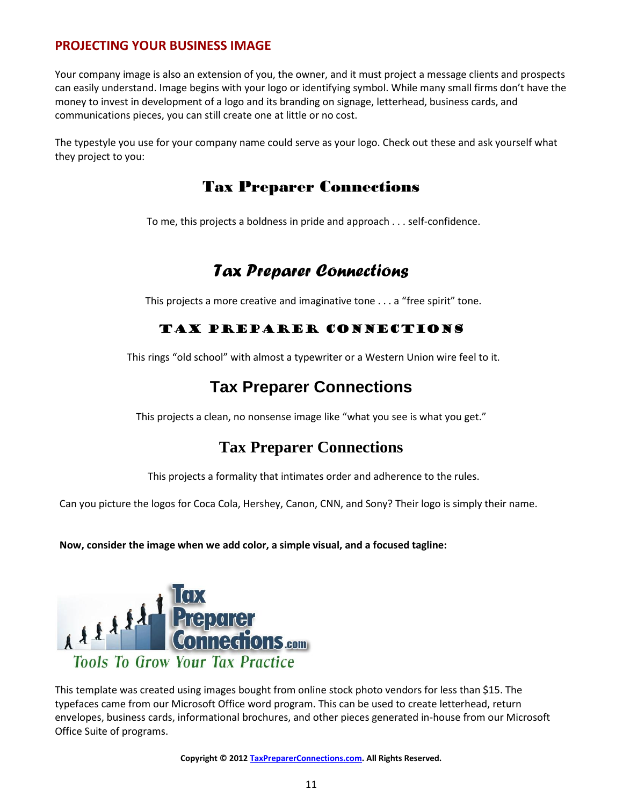### **PROJECTING YOUR BUSINESS IMAGE**

Your company image is also an extension of you, the owner, and it must project a message clients and prospects can easily understand. Image begins with your logo or identifying symbol. While many small firms don't have the money to invest in development of a logo and its branding on signage, letterhead, business cards, and communications pieces, you can still create one at little or no cost.

The typestyle you use for your company name could serve as your logo. Check out these and ask yourself what they project to you:

### Tax Preparer Connections

To me, this projects a boldness in pride and approach . . . self-confidence.

## *Tax Preparer Connections*

This projects a more creative and imaginative tone . . . a "free spirit" tone.

### Tax Preparer Connections

This rings "old school" with almost a typewriter or a Western Union wire feel to it.

## **Tax Preparer Connections**

This projects a clean, no nonsense image like "what you see is what you get."

## **Tax Preparer Connections**

This projects a formality that intimates order and adherence to the rules.

Can you picture the logos for Coca Cola, Hershey, Canon, CNN, and Sony? Their logo is simply their name.

**Now, consider the image when we add color, a simple visual, and a focused tagline:**



This template was created using images bought from online stock photo vendors for less than \$15. The typefaces came from our Microsoft Office word program. This can be used to create letterhead, return envelopes, business cards, informational brochures, and other pieces generated in-house from our Microsoft Office Suite of programs.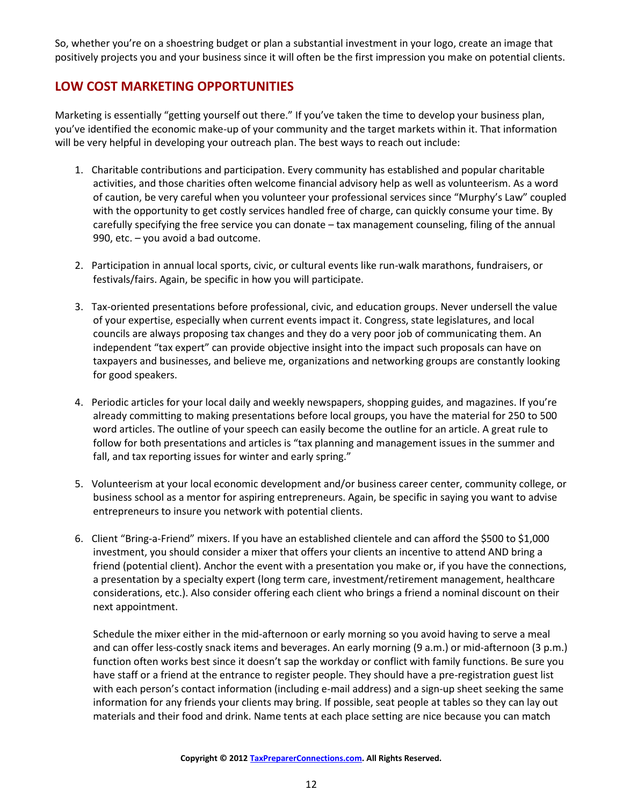So, whether you're on a shoestring budget or plan a substantial investment in your logo, create an image that positively projects you and your business since it will often be the first impression you make on potential clients.

### **LOW COST MARKETING OPPORTUNITIES**

Marketing is essentially "getting yourself out there." If you've taken the time to develop your business plan, you've identified the economic make-up of your community and the target markets within it. That information will be very helpful in developing your outreach plan. The best ways to reach out include:

- 1. Charitable contributions and participation. Every community has established and popular charitable activities, and those charities often welcome financial advisory help as well as volunteerism. As a word of caution, be very careful when you volunteer your professional services since "Murphy's Law" coupled with the opportunity to get costly services handled free of charge, can quickly consume your time. By carefully specifying the free service you can donate – tax management counseling, filing of the annual 990, etc. – you avoid a bad outcome.
- 2. Participation in annual local sports, civic, or cultural events like run-walk marathons, fundraisers, or festivals/fairs. Again, be specific in how you will participate.
- 3. Tax-oriented presentations before professional, civic, and education groups. Never undersell the value of your expertise, especially when current events impact it. Congress, state legislatures, and local councils are always proposing tax changes and they do a very poor job of communicating them. An independent "tax expert" can provide objective insight into the impact such proposals can have on taxpayers and businesses, and believe me, organizations and networking groups are constantly looking for good speakers.
- 4. Periodic articles for your local daily and weekly newspapers, shopping guides, and magazines. If you're already committing to making presentations before local groups, you have the material for 250 to 500 word articles. The outline of your speech can easily become the outline for an article. A great rule to follow for both presentations and articles is "tax planning and management issues in the summer and fall, and tax reporting issues for winter and early spring."
- 5. Volunteerism at your local economic development and/or business career center, community college, or business school as a mentor for aspiring entrepreneurs. Again, be specific in saying you want to advise entrepreneurs to insure you network with potential clients.
- 6. Client "Bring-a-Friend" mixers. If you have an established clientele and can afford the \$500 to \$1,000 investment, you should consider a mixer that offers your clients an incentive to attend AND bring a friend (potential client). Anchor the event with a presentation you make or, if you have the connections, a presentation by a specialty expert (long term care, investment/retirement management, healthcare considerations, etc.). Also consider offering each client who brings a friend a nominal discount on their next appointment.

Schedule the mixer either in the mid-afternoon or early morning so you avoid having to serve a meal and can offer less-costly snack items and beverages. An early morning (9 a.m.) or mid-afternoon (3 p.m.) function often works best since it doesn't sap the workday or conflict with family functions. Be sure you have staff or a friend at the entrance to register people. They should have a pre-registration guest list with each person's contact information (including e-mail address) and a sign-up sheet seeking the same information for any friends your clients may bring. If possible, seat people at tables so they can lay out materials and their food and drink. Name tents at each place setting are nice because you can match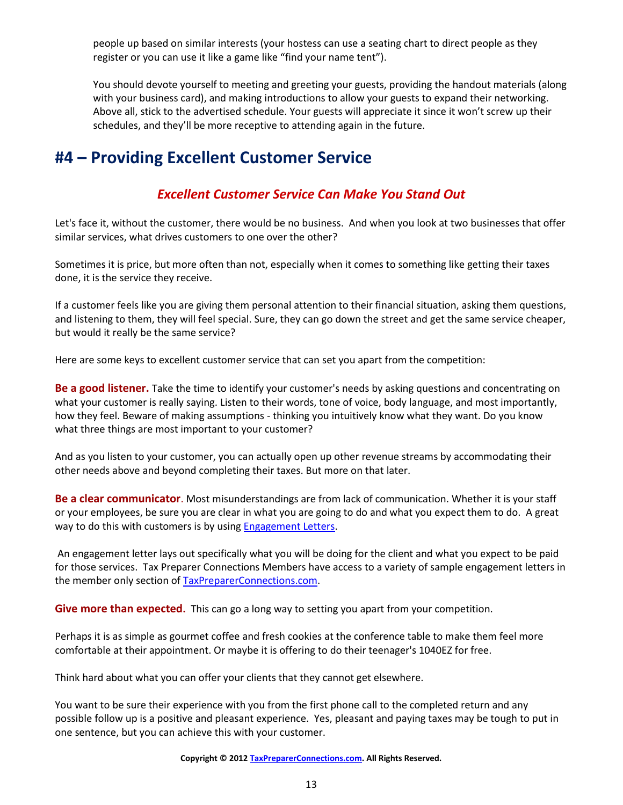people up based on similar interests (your hostess can use a seating chart to direct people as they register or you can use it like a game like "find your name tent").

You should devote yourself to meeting and greeting your guests, providing the handout materials (along with your business card), and making introductions to allow your guests to expand their networking. Above all, stick to the advertised schedule. Your guests will appreciate it since it won't screw up their schedules, and they'll be more receptive to attending again in the future.

### **#4 – Providing Excellent Customer Service**

### *Excellent Customer Service Can Make You Stand Out*

Let's face it, without the customer, there would be no business. And when you look at two businesses that offer similar services, what drives customers to one over the other?

Sometimes it is price, but more often than not, especially when it comes to something like getting their taxes done, it is the service they receive.

If a customer feels like you are giving them personal attention to their financial situation, asking them questions, and listening to them, they will feel special. Sure, they can go down the street and get the same service cheaper, but would it really be the same service?

Here are some keys to excellent customer service that can set you apart from the competition:

**Be a good listener.** Take the time to identify your customer's needs by asking questions and concentrating on what your customer is really saying. Listen to their words, tone of voice, body language, and most importantly, how they feel. Beware of making assumptions - thinking you intuitively know what they want. Do you know what three things are most important to your customer?

And as you listen to your customer, you can actually open up other revenue streams by accommodating their other needs above and beyond completing their taxes. But more on that later.

**Be a clear communicator**. Most misunderstandings are from lack of communication. Whether it is your staff or your employees, be sure you are clear in what you are going to do and what you expect them to do. A great way to do this with customers is by using **Engagement Letters**.

An engagement letter lays out specifically what you will be doing for the client and what you expect to be paid for those services. Tax Preparer Connections Members have access to a variety of sample engagement letters in the member only section of [TaxPreparerConnections.com.](http://taxpreparerconnections.com/)

**Give more than expected.** This can go a long way to setting you apart from your competition.

Perhaps it is as simple as gourmet coffee and fresh cookies at the conference table to make them feel more comfortable at their appointment. Or maybe it is offering to do their teenager's 1040EZ for free.

Think hard about what you can offer your clients that they cannot get elsewhere.

You want to be sure their experience with you from the first phone call to the completed return and any possible follow up is a positive and pleasant experience. Yes, pleasant and paying taxes may be tough to put in one sentence, but you can achieve this with your customer.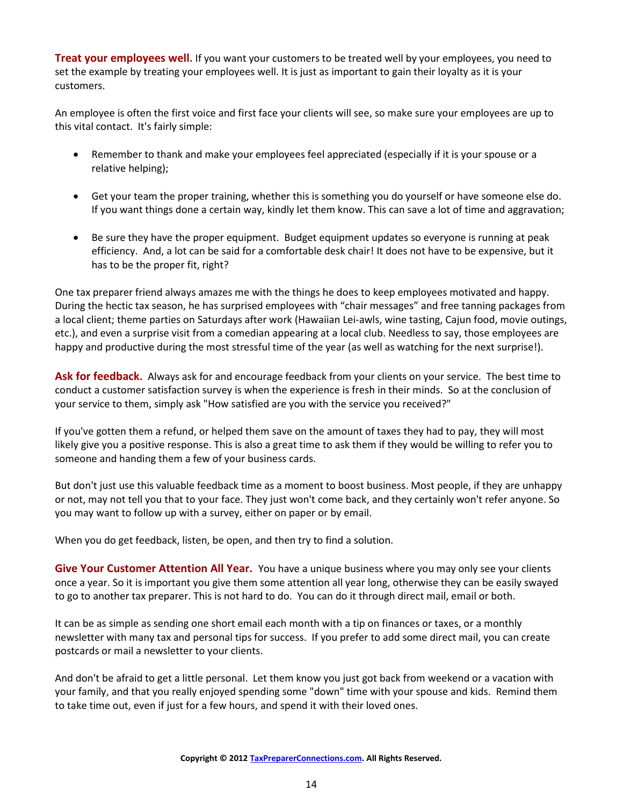**Treat your employees well.** If you want your customers to be treated well by your employees, you need to set the example by treating your employees well. It is just as important to gain their loyalty as it is your customers.

An employee is often the first voice and first face your clients will see, so make sure your employees are up to this vital contact. It's fairly simple:

- Remember to thank and make your employees feel appreciated (especially if it is your spouse or a relative helping);
- Get your team the proper training, whether this is something you do yourself or have someone else do. If you want things done a certain way, kindly let them know. This can save a lot of time and aggravation;
- Be sure they have the proper equipment. Budget equipment updates so everyone is running at peak efficiency. And, a lot can be said for a comfortable desk chair! It does not have to be expensive, but it has to be the proper fit, right?

One tax preparer friend always amazes me with the things he does to keep employees motivated and happy. During the hectic tax season, he has surprised employees with "chair messages" and free tanning packages from a local client; theme parties on Saturdays after work (Hawaiian Lei-awls, wine tasting, Cajun food, movie outings, etc.), and even a surprise visit from a comedian appearing at a local club. Needless to say, those employees are happy and productive during the most stressful time of the year (as well as watching for the next surprise!).

**Ask for feedback.** Always ask for and encourage feedback from your clients on your service. The best time to conduct a customer satisfaction survey is when the experience is fresh in their minds. So at the conclusion of your service to them, simply ask "How satisfied are you with the service you received?"

If you've gotten them a refund, or helped them save on the amount of taxes they had to pay, they will most likely give you a positive response. This is also a great time to ask them if they would be willing to refer you to someone and handing them a few of your business cards.

But don't just use this valuable feedback time as a moment to boost business. Most people, if they are unhappy or not, may not tell you that to your face. They just won't come back, and they certainly won't refer anyone. So you may want to follow up with a survey, either on paper or by email.

When you do get feedback, listen, be open, and then try to find a solution.

**Give Your Customer Attention All Year.** You have a unique business where you may only see your clients once a year. So it is important you give them some attention all year long, otherwise they can be easily swayed to go to another tax preparer. This is not hard to do. You can do it through direct mail, email or both.

It can be as simple as sending one short email each month with a tip on finances or taxes, or a monthly newsletter with many tax and personal tips for success. If you prefer to add some direct mail, you can create postcards or mail a newsletter to your clients.

And don't be afraid to get a little personal. Let them know you just got back from weekend or a vacation with your family, and that you really enjoyed spending some "down" time with your spouse and kids. Remind them to take time out, even if just for a few hours, and spend it with their loved ones.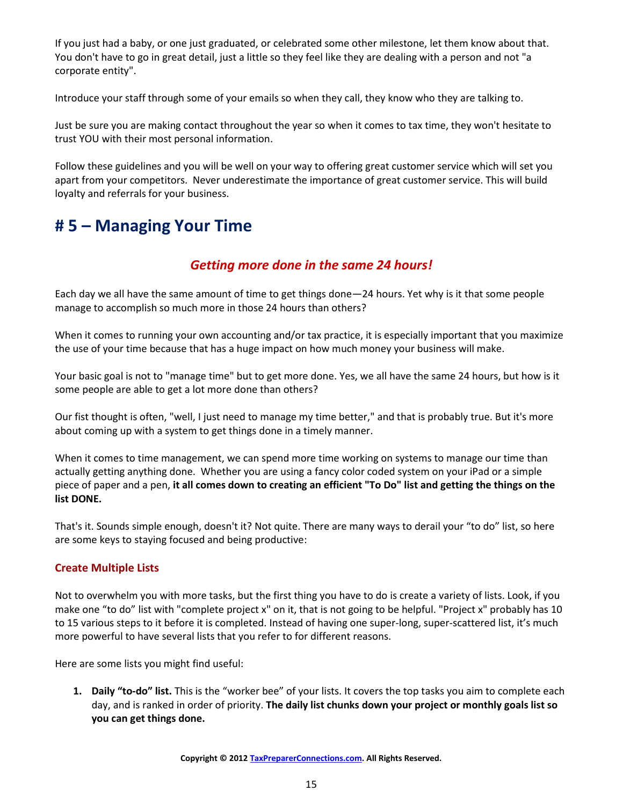If you just had a baby, or one just graduated, or celebrated some other milestone, let them know about that. You don't have to go in great detail, just a little so they feel like they are dealing with a person and not "a corporate entity".

Introduce your staff through some of your emails so when they call, they know who they are talking to.

Just be sure you are making contact throughout the year so when it comes to tax time, they won't hesitate to trust YOU with their most personal information.

Follow these guidelines and you will be well on your way to offering great customer service which will set you apart from your competitors. Never underestimate the importance of great customer service. This will build loyalty and referrals for your business.

## **# 5 – Managing Your Time**

### *Getting more done in the same 24 hours!*

Each day we all have the same amount of time to get things done—24 hours. Yet why is it that some people manage to accomplish so much more in those 24 hours than others?

When it comes to running your own accounting and/or tax practice, it is especially important that you maximize the use of your time because that has a huge impact on how much money your business will make.

Your basic goal is not to "manage time" but to get more done. Yes, we all have the same 24 hours, but how is it some people are able to get a lot more done than others?

Our fist thought is often, "well, I just need to manage my time better," and that is probably true. But it's more about coming up with a system to get things done in a timely manner.

When it comes to time management, we can spend more time working on systems to manage our time than actually getting anything done. Whether you are using a fancy color coded system on your iPad or a simple piece of paper and a pen, **it all comes down to creating an efficient "To Do" list and getting the things on the list DONE.** 

That's it. Sounds simple enough, doesn't it? Not quite. There are many ways to derail your "to do" list, so here are some keys to staying focused and being productive:

#### **Create Multiple Lists**

Not to overwhelm you with more tasks, but the first thing you have to do is create a variety of lists. Look, if you make one "to do" list with "complete project x" on it, that is not going to be helpful. "Project x" probably has 10 to 15 various steps to it before it is completed. Instead of having one super-long, super-scattered list, it's much more powerful to have several lists that you refer to for different reasons.

Here are some lists you might find useful:

**1. Daily "to-do" list.** This is the "worker bee" of your lists. It covers the top tasks you aim to complete each day, and is ranked in order of priority. **The daily list chunks down your project or monthly goals list so you can get things done.**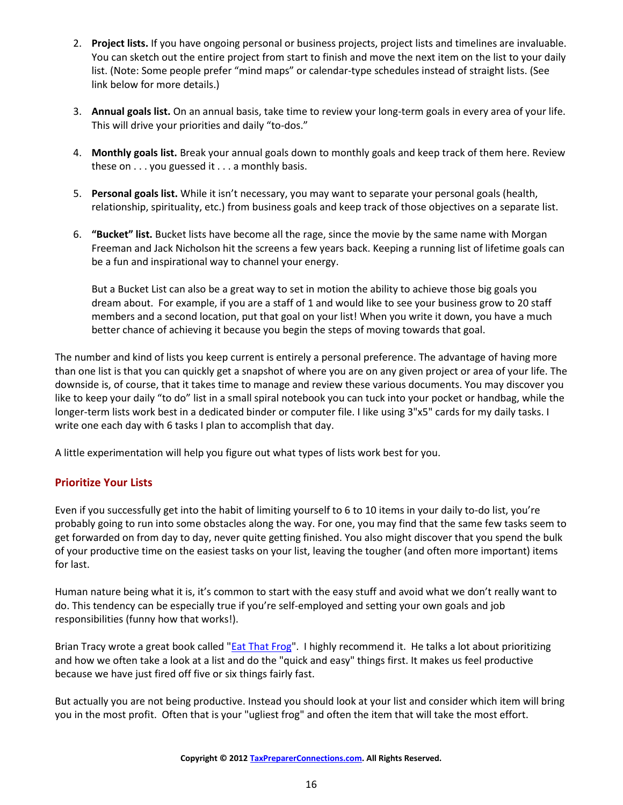- 2. Project lists. If you have ongoing personal or business projects, project lists and timelines are invaluable. You can sketch out the entire project from start to finish and move the next item on the list to your daily list. (Note: Some people prefer "mind maps" or calendar-type schedules instead of straight lists. (See link below for more details.)
- 3. **Annual goals list.** On an annual basis, take time to review your long-term goals in every area of your life. This will drive your priorities and daily "to-dos."
- 4. **Monthly goals list.** Break your annual goals down to monthly goals and keep track of them here. Review these on . . . you guessed it . . . a monthly basis.
- 5. **Personal goals list.** While it isn't necessary, you may want to separate your personal goals (health, relationship, spirituality, etc.) from business goals and keep track of those objectives on a separate list.
- 6. **"Bucket" list.** Bucket lists have become all the rage, since the movie by the same name with Morgan Freeman and Jack Nicholson hit the screens a few years back. Keeping a running list of lifetime goals can be a fun and inspirational way to channel your energy.

But a Bucket List can also be a great way to set in motion the ability to achieve those big goals you dream about. For example, if you are a staff of 1 and would like to see your business grow to 20 staff members and a second location, put that goal on your list! When you write it down, you have a much better chance of achieving it because you begin the steps of moving towards that goal.

The number and kind of lists you keep current is entirely a personal preference. The advantage of having more than one list is that you can quickly get a snapshot of where you are on any given project or area of your life. The downside is, of course, that it takes time to manage and review these various documents. You may discover you like to keep your daily "to do" list in a small spiral notebook you can tuck into your pocket or handbag, while the longer-term lists work best in a dedicated binder or computer file. I like using 3"x5" cards for my daily tasks. I write one each day with 6 tasks I plan to accomplish that day.

A little experimentation will help you figure out what types of lists work best for you.

#### **Prioritize Your Lists**

Even if you successfully get into the habit of limiting yourself to 6 to 10 items in your daily to-do list, you're probably going to run into some obstacles along the way. For one, you may find that the same few tasks seem to get forwarded on from day to day, never quite getting finished. You also might discover that you spend the bulk of your productive time on the easiest tasks on your list, leaving the tougher (and often more important) items for last.

Human nature being what it is, it's common to start with the easy stuff and avoid what we don't really want to do. This tendency can be especially true if you're self-employed and setting your own goals and job responsibilities (funny how that works!).

Brian Tracy wrote a great book called ["Eat That Frog"](file:///D:/HBGI/TaxProSite/Give%20Aways%20and%20Downloads/CustomerServiceeCourse/a%20target=%22_blank%22%20href=%22http:/www.amazon.com/mn/search/%3f_encoding=UTF8&tag=taxprepconn-20&linkCode=ur2&camp=1789&creative=390957&field-keywords=eat%20that%20frog%20brian%20tracy&url=search-alias=stripbooks&sprefix=eat%20that%20frog,stripbooks,220%22). I highly recommend it. He talks a lot about prioritizing and how we often take a look at a list and do the "quick and easy" things first. It makes us feel productive because we have just fired off five or six things fairly fast.

But actually you are not being productive. Instead you should look at your list and consider which item will bring you in the most profit. Often that is your "ugliest frog" and often the item that will take the most effort.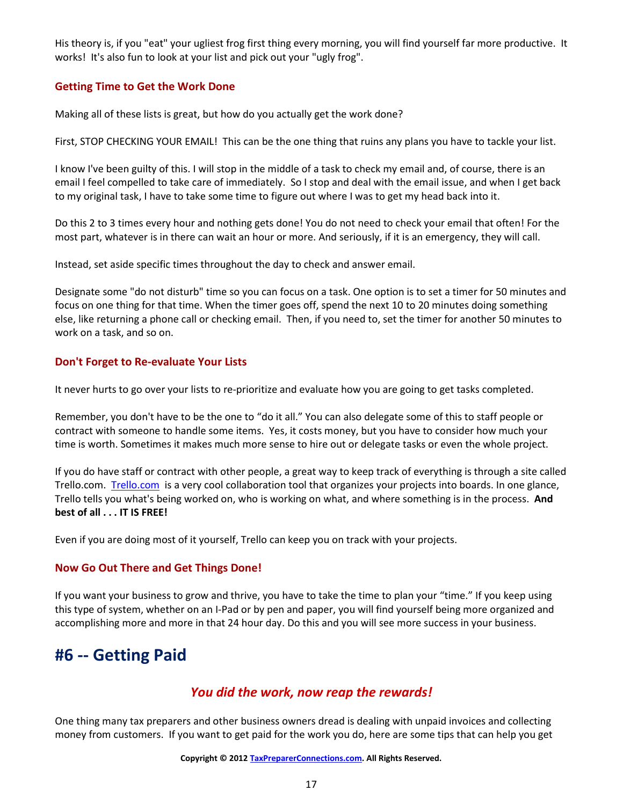His theory is, if you "eat" your ugliest frog first thing every morning, you will find yourself far more productive. It works! It's also fun to look at your list and pick out your "ugly frog".

#### **Getting Time to Get the Work Done**

Making all of these lists is great, but how do you actually get the work done?

First, STOP CHECKING YOUR EMAIL! This can be the one thing that ruins any plans you have to tackle your list.

I know I've been guilty of this. I will stop in the middle of a task to check my email and, of course, there is an email I feel compelled to take care of immediately. So I stop and deal with the email issue, and when I get back to my original task, I have to take some time to figure out where I was to get my head back into it.

Do this 2 to 3 times every hour and nothing gets done! You do not need to check your email that often! For the most part, whatever is in there can wait an hour or more. And seriously, if it is an emergency, they will call.

Instead, set aside specific times throughout the day to check and answer email.

Designate some "do not disturb" time so you can focus on a task. One option is to set a timer for 50 minutes and focus on one thing for that time. When the timer goes off, spend the next 10 to 20 minutes doing something else, like returning a phone call or checking email. Then, if you need to, set the timer for another 50 minutes to work on a task, and so on.

#### **Don't Forget to Re-evaluate Your Lists**

It never hurts to go over your lists to re-prioritize and evaluate how you are going to get tasks completed.

Remember, you don't have to be the one to "do it all." You can also delegate some of this to staff people or contract with someone to handle some items. Yes, it costs money, but you have to consider how much your time is worth. Sometimes it makes much more sense to hire out or delegate tasks or even the whole project.

If you do have staff or contract with other people, a great way to keep track of everything is through a site called Trello.com. [Trello.com](http://trello.com/) is a very cool collaboration tool that organizes your projects into boards. In one glance, Trello tells you what's being worked on, who is working on what, and where something is in the process. **And best of all . . . IT IS FREE!**

Even if you are doing most of it yourself, Trello can keep you on track with your projects.

#### **Now Go Out There and Get Things Done!**

If you want your business to grow and thrive, you have to take the time to plan your "time." If you keep using this type of system, whether on an I-Pad or by pen and paper, you will find yourself being more organized and accomplishing more and more in that 24 hour day. Do this and you will see more success in your business.

## **#6 -- Getting Paid**

### *You did the work, now reap the rewards!*

One thing many tax preparers and other business owners dread is dealing with unpaid invoices and collecting money from customers. If you want to get paid for the work you do, here are some tips that can help you get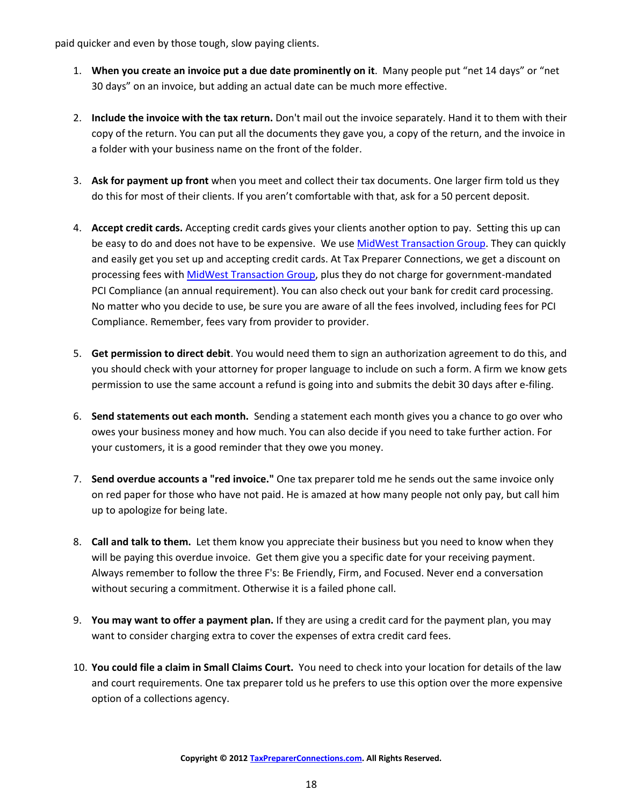paid quicker and even by those tough, slow paying clients.

- 1. **When you create an invoice put a due date prominently on it**. Many people put "net 14 days" or "net 30 days" on an invoice, but adding an actual date can be much more effective.
- 2. **Include the invoice with the tax return.** Don't mail out the invoice separately. Hand it to them with their copy of the return. You can put all the documents they gave you, a copy of the return, and the invoice in a folder with your business name on the front of the folder.
- 3. **Ask for payment up front** when you meet and collect their tax documents. One larger firm told us they do this for most of their clients. If you aren't comfortable with that, ask for a 50 percent deposit.
- 4. **Accept credit cards.** Accepting credit cards gives your clients another option to pay. Setting this up can be easy to do and does not have to be expensive. We use [MidWest Transaction Group.](http://taxpreparerconnections.com/lower-your-credit-card-fees/) They can quickly and easily get you set up and accepting credit cards. At Tax Preparer Connections, we get a discount on processing fees wit[h MidWest Transaction Group,](http://taxpreparerconnections.com/lower-your-credit-card-fees/) plus they do not charge for government-mandated PCI Compliance (an annual requirement). You can also check out your bank for credit card processing. No matter who you decide to use, be sure you are aware of all the fees involved, including fees for PCI Compliance. Remember, fees vary from provider to provider.
- 5. **Get permission to direct debit**. You would need them to sign an authorization agreement to do this, and you should check with your attorney for proper language to include on such a form. A firm we know gets permission to use the same account a refund is going into and submits the debit 30 days after e-filing.
- 6. **Send statements out each month.** Sending a statement each month gives you a chance to go over who owes your business money and how much. You can also decide if you need to take further action. For your customers, it is a good reminder that they owe you money.
- 7. **Send overdue accounts a "red invoice."** One tax preparer told me he sends out the same invoice only on red paper for those who have not paid. He is amazed at how many people not only pay, but call him up to apologize for being late.
- 8. **Call and talk to them.** Let them know you appreciate their business but you need to know when they will be paying this overdue invoice. Get them give you a specific date for your receiving payment. Always remember to follow the three F's: Be Friendly, Firm, and Focused. Never end a conversation without securing a commitment. Otherwise it is a failed phone call.
- 9. **You may want to offer a payment plan.** If they are using a credit card for the payment plan, you may want to consider charging extra to cover the expenses of extra credit card fees.
- 10. **You could file a claim in Small Claims Court.** You need to check into your location for details of the law and court requirements. One tax preparer told us he prefers to use this option over the more expensive option of a collections agency.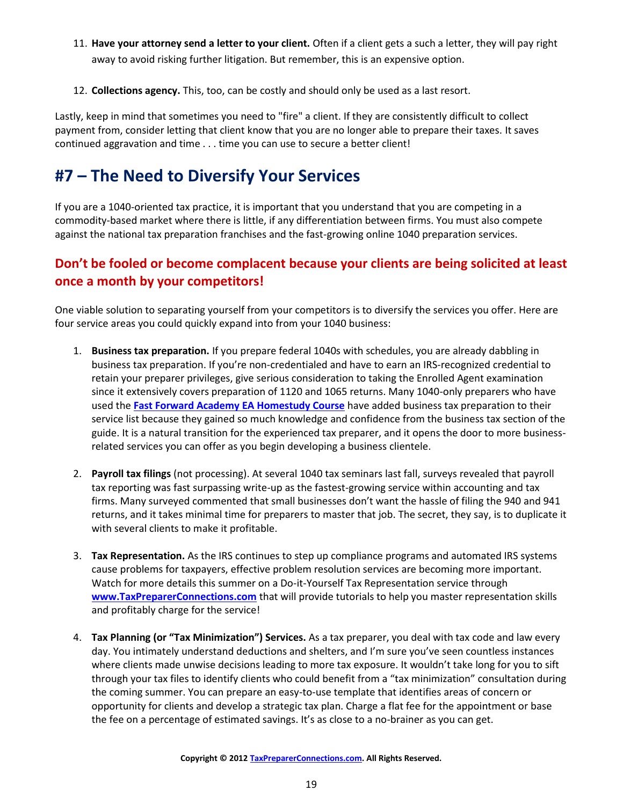- 11. **Have your attorney send a letter to your client.** Often if a client gets a such a letter, they will pay right away to avoid risking further litigation. But remember, this is an expensive option.
- 12. **Collections agency.** This, too, can be costly and should only be used as a last resort.

Lastly, keep in mind that sometimes you need to "fire" a client. If they are consistently difficult to collect payment from, consider letting that client know that you are no longer able to prepare their taxes. It saves continued aggravation and time . . . time you can use to secure a better client!

## **#7 – The Need to Diversify Your Services**

If you are a 1040-oriented tax practice, it is important that you understand that you are competing in a commodity-based market where there is little, if any differentiation between firms. You must also compete against the national tax preparation franchises and the fast-growing online 1040 preparation services.

### **Don't be fooled or become complacent because your clients are being solicited at least once a month by your competitors!**

One viable solution to separating yourself from your competitors is to diversify the services you offer. Here are four service areas you could quickly expand into from your 1040 business:

- 1. **Business tax preparation.** If you prepare federal 1040s with schedules, you are already dabbling in business tax preparation. If you're non-credentialed and have to earn an IRS-recognized credential to retain your preparer privileges, give serious consideration to taking the Enrolled Agent examination since it extensively covers preparation of 1120 and 1065 returns. Many 1040-only preparers who have used the **[Fast Forward Academy EA Homestudy Course](http://fastforwardacademy.com/TPC)** have added business tax preparation to their service list because they gained so much knowledge and confidence from the business tax section of the guide. It is a natural transition for the experienced tax preparer, and it opens the door to more businessrelated services you can offer as you begin developing a business clientele.
- 2. **Payroll tax filings** (not processing). At several 1040 tax seminars last fall, surveys revealed that payroll tax reporting was fast surpassing write-up as the fastest-growing service within accounting and tax firms. Many surveyed commented that small businesses don't want the hassle of filing the 940 and 941 returns, and it takes minimal time for preparers to master that job. The secret, they say, is to duplicate it with several clients to make it profitable.
- 3. **Tax Representation.** As the IRS continues to step up compliance programs and automated IRS systems cause problems for taxpayers, effective problem resolution services are becoming more important. Watch for more details this summer on a Do-it-Yourself Tax Representation service through **[www.TaxPreparerConnections.com](http://www.taxpreparerconnections.com/)** that will provide tutorials to help you master representation skills and profitably charge for the service!
- 4. **Tax Planning (or "Tax Minimization") Services.** As a tax preparer, you deal with tax code and law every day. You intimately understand deductions and shelters, and I'm sure you've seen countless instances where clients made unwise decisions leading to more tax exposure. It wouldn't take long for you to sift through your tax files to identify clients who could benefit from a "tax minimization" consultation during the coming summer. You can prepare an easy-to-use template that identifies areas of concern or opportunity for clients and develop a strategic tax plan. Charge a flat fee for the appointment or base the fee on a percentage of estimated savings. It's as close to a no-brainer as you can get.